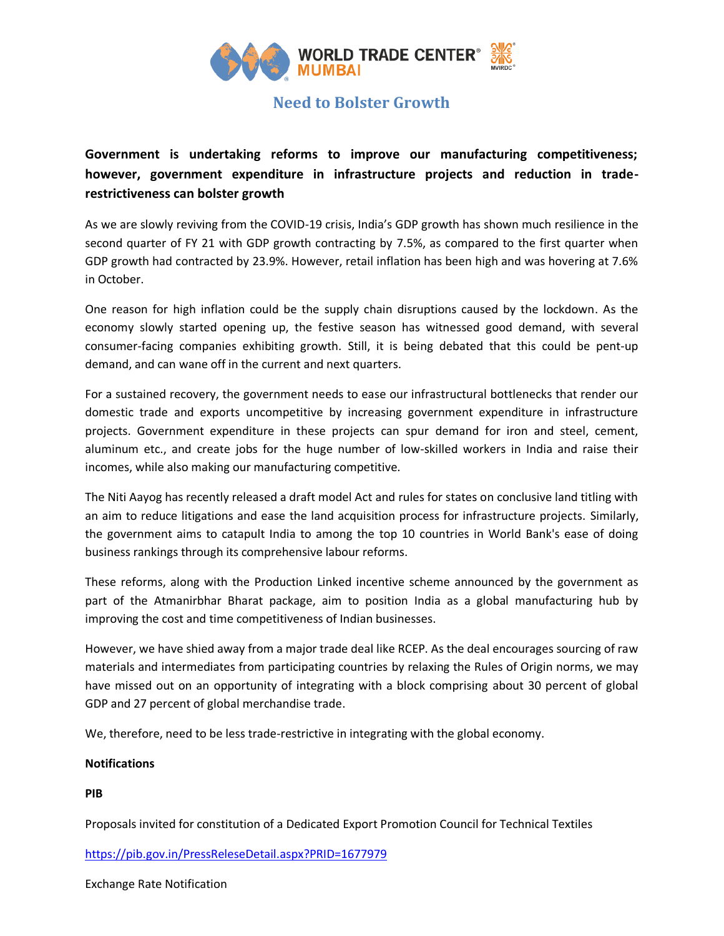

## **Need to Bolster Growth**

**Government is undertaking reforms to improve our manufacturing competitiveness; however, government expenditure in infrastructure projects and reduction in traderestrictiveness can bolster growth**

As we are slowly reviving from the COVID-19 crisis, India's GDP growth has shown much resilience in the second quarter of FY 21 with GDP growth contracting by 7.5%, as compared to the first quarter when GDP growth had contracted by 23.9%. However, retail inflation has been high and was hovering at 7.6% in October.

One reason for high inflation could be the supply chain disruptions caused by the lockdown. As the economy slowly started opening up, the festive season has witnessed good demand, with several consumer-facing companies exhibiting growth. Still, it is being debated that this could be pent-up demand, and can wane off in the current and next quarters.

For a sustained recovery, the government needs to ease our infrastructural bottlenecks that render our domestic trade and exports uncompetitive by increasing government expenditure in infrastructure projects. Government expenditure in these projects can spur demand for iron and steel, cement, aluminum etc., and create jobs for the huge number of low-skilled workers in India and raise their incomes, while also making our manufacturing competitive.

The Niti Aayog has recently released a draft model Act and rules for states on conclusive land titling with an aim to reduce litigations and ease the land acquisition process for infrastructure projects. Similarly, the government aims to catapult India to among the top 10 countries in World Bank's ease of doing business rankings through its comprehensive labour reforms.

These reforms, along with the Production Linked incentive scheme announced by the government as part of the Atmanirbhar Bharat package, aim to position India as a global manufacturing hub by improving the cost and time competitiveness of Indian businesses.

However, we have shied away from a major trade deal like RCEP. As the deal encourages sourcing of raw materials and intermediates from participating countries by relaxing the Rules of Origin norms, we may have missed out on an opportunity of integrating with a block comprising about 30 percent of global GDP and 27 percent of global merchandise trade.

We, therefore, need to be less trade-restrictive in integrating with the global economy.

## **Notifications**

**PIB**

Proposals invited for constitution of a Dedicated Export Promotion Council for Technical Textiles

<https://pib.gov.in/PressReleseDetail.aspx?PRID=1677979>

Exchange Rate Notification